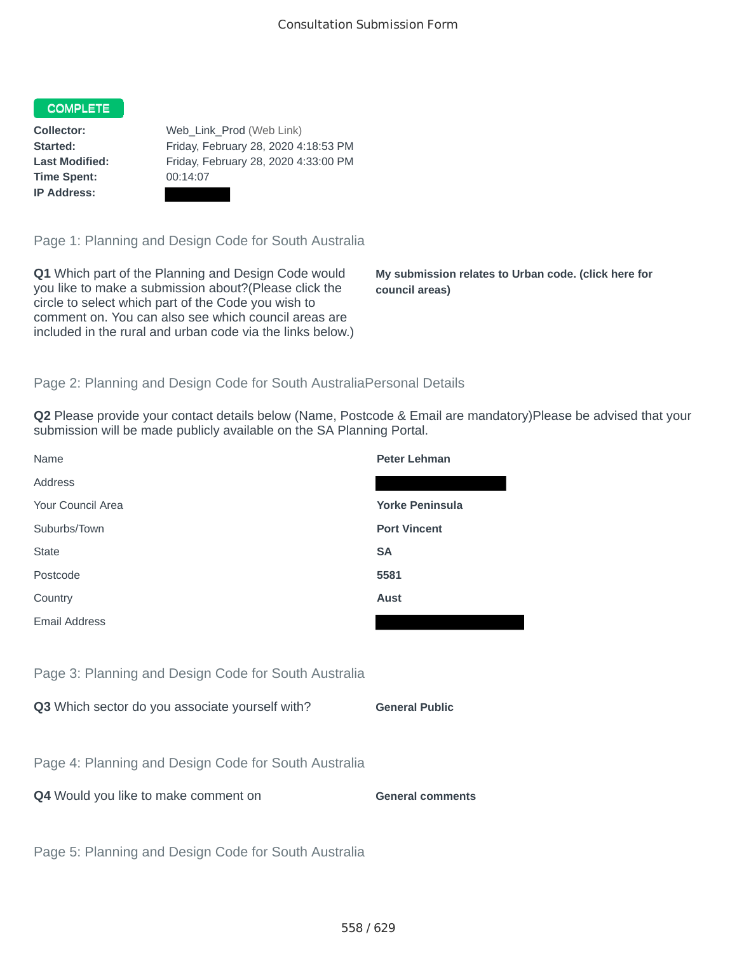## COMPLETE

**Time Spent:** 00:14:07 **IP Address:**

**Collector:** Web\_Link\_Prod (Web Link) **Started:** Friday, February 28, 2020 4:18:53 PM **Last Modified:** Friday, February 28, 2020 4:33:00 PM

Page 1: Planning and Design Code for South Australia

**Q1** Which part of the Planning and Design Code would you like to make a submission about?(Please click the circle to select which part of the Code you wish to comment on. You can also see which council areas are included in the rural and urban code via the links below.)

**My submission relates to Urban code. (click here for council areas)**

## Page 2: Planning and Design Code for South AustraliaPersonal Details

**Q2** Please provide your contact details below (Name, Postcode & Email are mandatory)Please be advised that your submission will be made publicly available on the SA Planning Portal.

| Name                                                 | <b>Peter Lehman</b>     |
|------------------------------------------------------|-------------------------|
| Address                                              |                         |
| Your Council Area                                    | <b>Yorke Peninsula</b>  |
| Suburbs/Town                                         | <b>Port Vincent</b>     |
| <b>State</b>                                         | <b>SA</b>               |
| Postcode                                             | 5581                    |
| Country                                              | <b>Aust</b>             |
| <b>Email Address</b>                                 |                         |
|                                                      |                         |
| Page 3: Planning and Design Code for South Australia |                         |
| Q3 Which sector do you associate yourself with?      | <b>General Public</b>   |
|                                                      |                         |
| Page 4: Planning and Design Code for South Australia |                         |
| Q4 Would you like to make comment on                 | <b>General comments</b> |
|                                                      |                         |
| Page 5: Planning and Design Code for South Australia |                         |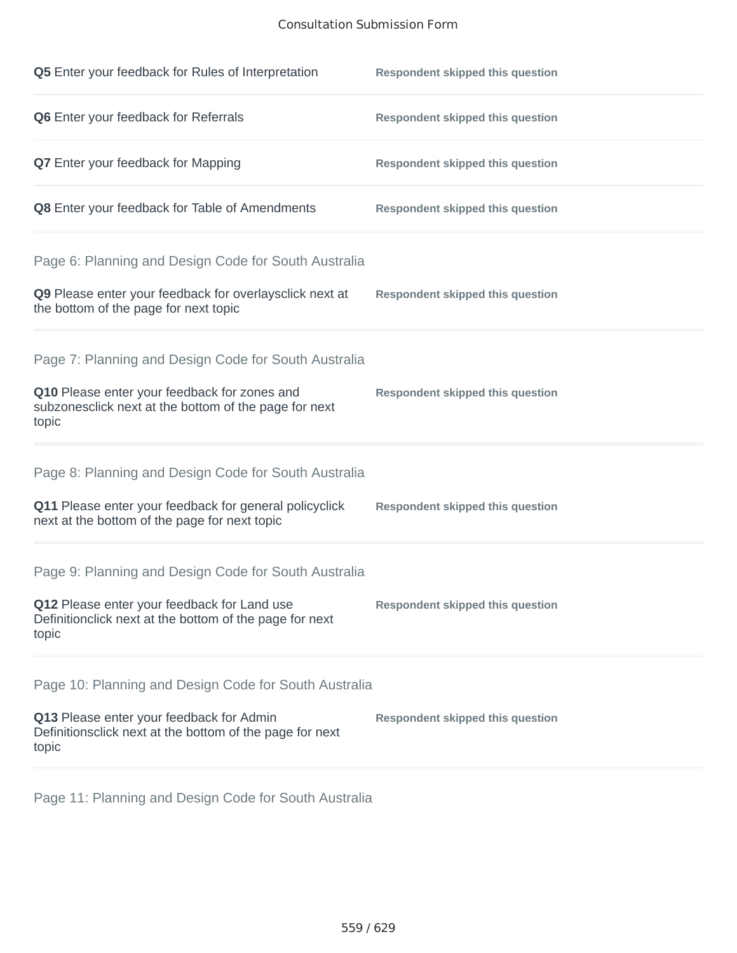## Consultation Submission Form

| Q5 Enter your feedback for Rules of Interpretation                                                                                                                      | <b>Respondent skipped this question</b> |
|-------------------------------------------------------------------------------------------------------------------------------------------------------------------------|-----------------------------------------|
| Q6 Enter your feedback for Referrals                                                                                                                                    | <b>Respondent skipped this question</b> |
| Q7 Enter your feedback for Mapping                                                                                                                                      | <b>Respondent skipped this question</b> |
| Q8 Enter your feedback for Table of Amendments                                                                                                                          | <b>Respondent skipped this question</b> |
| Page 6: Planning and Design Code for South Australia<br>Q9 Please enter your feedback for overlaysclick next at<br>the bottom of the page for next topic                | <b>Respondent skipped this question</b> |
| Page 7: Planning and Design Code for South Australia<br>Q10 Please enter your feedback for zones and<br>subzonesclick next at the bottom of the page for next<br>topic  | <b>Respondent skipped this question</b> |
| Page 8: Planning and Design Code for South Australia<br>Q11 Please enter your feedback for general policyclick<br>next at the bottom of the page for next topic         | <b>Respondent skipped this question</b> |
| Page 9: Planning and Design Code for South Australia<br>Q12 Please enter your feedback for Land use<br>Definitionclick next at the bottom of the page for next<br>topic | <b>Respondent skipped this question</b> |
| Page 10: Planning and Design Code for South Australia<br>Q13 Please enter your feedback for Admin<br>Definitionsclick next at the bottom of the page for next<br>topic  | <b>Respondent skipped this question</b> |

Page 11: Planning and Design Code for South Australia